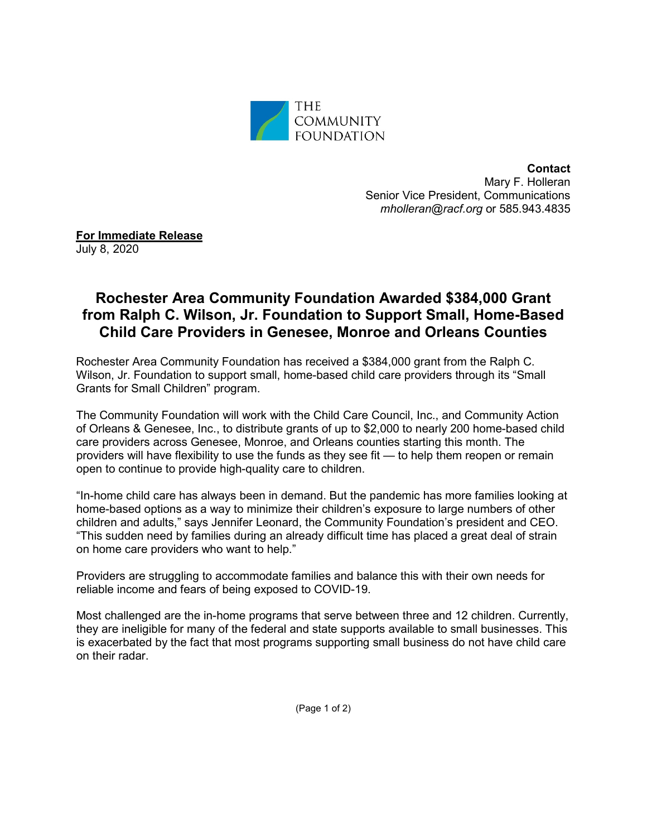

**Contact** Mary F. Holleran Senior Vice President, Communications *[mholleran@racf.org](mailto:mholleran@racf.org)* or 585.943.4835

**For Immediate Release** July 8, 2020

## **Rochester Area Community Foundation Awarded \$384,000 Grant from Ralph C. Wilson, Jr. Foundation to Support Small, Home-Based Child Care Providers in Genesee, Monroe and Orleans Counties**

Rochester Area Community Foundation has received a \$384,000 grant from the Ralph C. Wilson, Jr. Foundation to support small, home-based child care providers through its "Small Grants for Small Children" program.

The Community Foundation will work with the Child Care Council, Inc., and Community Action of Orleans & Genesee, Inc., to distribute grants of up to \$2,000 to nearly 200 home-based child care providers across Genesee, Monroe, and Orleans counties starting this month. The providers will have flexibility to use the funds as they see fit — to help them reopen or remain open to continue to provide high-quality care to children.

"In-home child care has always been in demand. But the pandemic has more families looking at home-based options as a way to minimize their children's exposure to large numbers of other children and adults," says Jennifer Leonard, the Community Foundation's president and CEO. "This sudden need by families during an already difficult time has placed a great deal of strain on home care providers who want to help."

Providers are struggling to accommodate families and balance this with their own needs for reliable income and fears of being exposed to COVID-19.

Most challenged are the in-home programs that serve between three and 12 children. Currently, they are ineligible for many of the federal and state supports available to small businesses. This is exacerbated by the fact that most programs supporting small business do not have child care on their radar.

(Page 1 of 2)